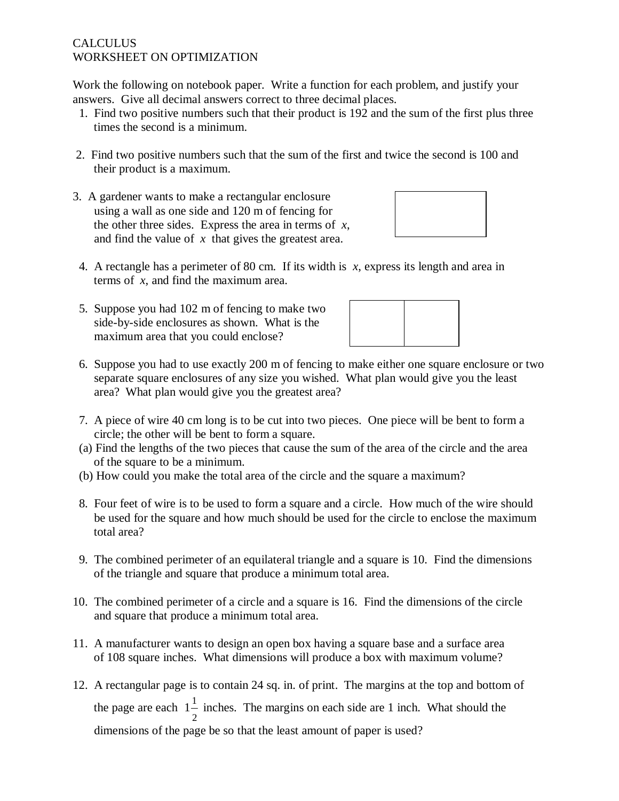## **CALCULUS** WORKSHEET ON OPTIMIZATION

Work the following on notebook paper. Write a function for each problem, and justify your answers. Give all decimal answers correct to three decimal places.

- 1. Find two positive numbers such that their product is 192 and the sum of the first plus three times the second is a minimum.
- 2. Find two positive numbers such that the sum of the first and twice the second is 100 and their product is a maximum.
- 3. A gardener wants to make a rectangular enclosure using a wall as one side and 120 m of fencing for the other three sides. Express the area in terms of *x*, and find the value of *x* that gives the greatest area.



- 4. A rectangle has a perimeter of 80 cm. If its width is *x*, express its length and area in terms of *x*, and find the maximum area.
- 5. Suppose you had 102 m of fencing to make two side-by-side enclosures as shown. What is the maximum area that you could enclose?



- 6. Suppose you had to use exactly 200 m of fencing to make either one square enclosure or two separate square enclosures of any size you wished. What plan would give you the least area? What plan would give you the greatest area?
- 7. A piece of wire 40 cm long is to be cut into two pieces. One piece will be bent to form a circle; the other will be bent to form a square.
- (a) Find the lengths of the two pieces that cause the sum of the area of the circle and the area of the square to be a minimum.
- (b) How could you make the total area of the circle and the square a maximum?
- 8. Four feet of wire is to be used to form a square and a circle. How much of the wire should be used for the square and how much should be used for the circle to enclose the maximum total area?
- 9. The combined perimeter of an equilateral triangle and a square is 10. Find the dimensions of the triangle and square that produce a minimum total area.
- 10. The combined perimeter of a circle and a square is 16. Find the dimensions of the circle and square that produce a minimum total area.
- 11. A manufacturer wants to design an open box having a square base and a surface area of 108 square inches. What dimensions will produce a box with maximum volume?
- 12. A rectangular page is to contain 24 sq. in. of print. The margins at the top and bottom of the page are each  $1\frac{1}{1}$ 2  $1-\overline{1}$  inches. The margins on each side are 1 inch. What should the dimensions of the page be so that the least amount of paper is used?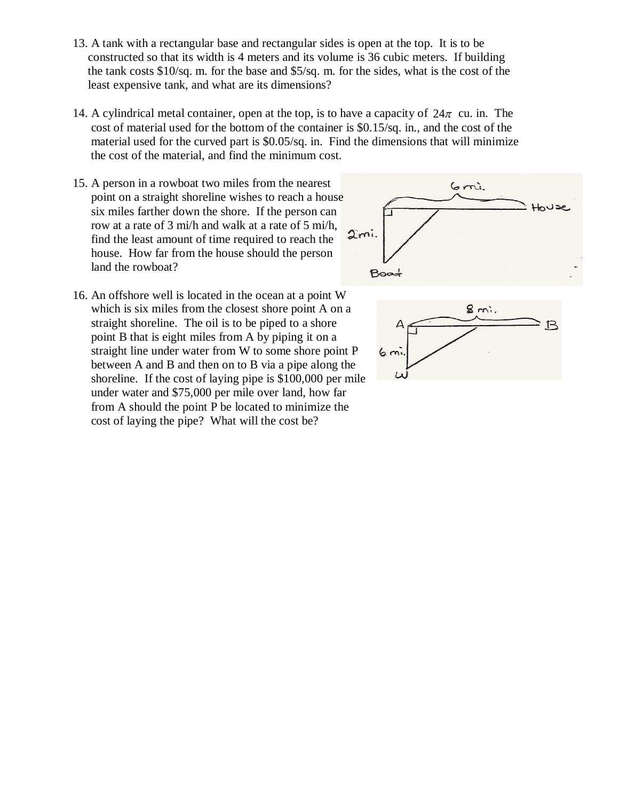- 13. A tank with a rectangular base and rectangular sides is open at the top. It is to be constructed so that its width is 4 meters and its volume is 36 cubic meters. If building the tank costs \$10/sq. m. for the base and \$5/sq. m. for the sides, what is the cost of the least expensive tank, and what are its dimensions?
- 14. A cylindrical metal container, open at the top, is to have a capacity of  $24\pi$  cu. in. The cost of material used for the bottom of the container is \$0.15/sq. in., and the cost of the material used for the curved part is \$0.05/sq. in. Find the dimensions that will minimize the cost of the material, and find the minimum cost.
- 15. A person in a rowboat two miles from the nearest point on a straight shoreline wishes to reach a house six miles farther down the shore. If the person can row at a rate of 3 mi/h and walk at a rate of 5 mi/h, find the least amount of time required to reach the house. How far from the house should the person land the rowboat?



16. An offshore well is located in the ocean at a point W which is six miles from the closest shore point A on a straight shoreline. The oil is to be piped to a shore point B that is eight miles from A by piping it on a straight line under water from W to some shore point P between A and B and then on to B via a pipe along the shoreline. If the cost of laying pipe is \$100,000 per mile under water and \$75,000 per mile over land, how far from A should the point P be located to minimize the cost of laying the pipe? What will the cost be?